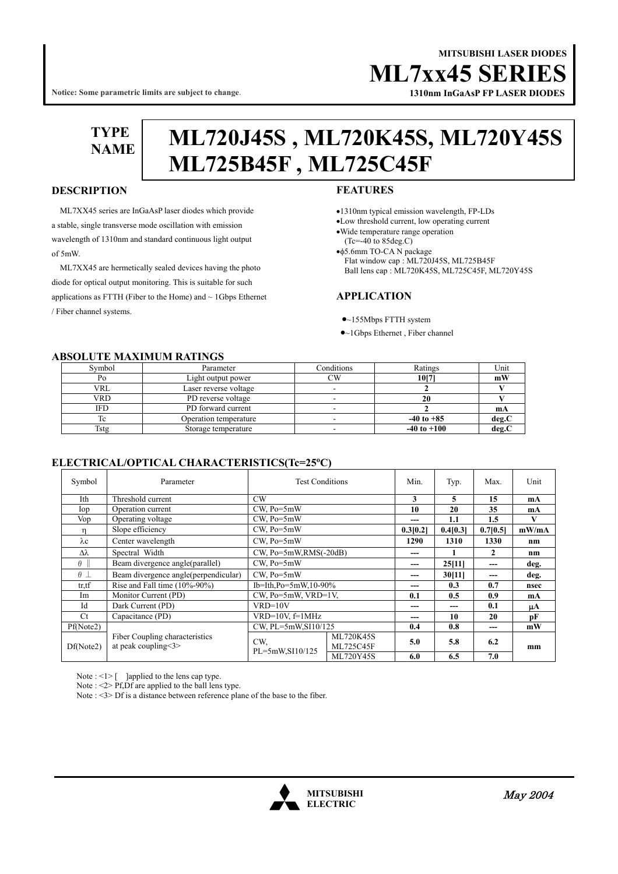## **MITSUBISHI LASER DIODES ML7xx45 SERI**

**Notice: Some parametric limits are subject to change.**

# **1310nm InGaAsP FP LASER DIODES**

**TYPE** 

# **NAME ML720J45S , ML720K45S, ML720Y45S ML725B45F , ML725C45F**

#### **DESCRIPTION**

ML7XX45 series are InGaAsP laser diodes which provide a stable, single transverse mode oscillation with emission wavelength of 1310nm and standard continuous light output of 5mW.

 ML7XX45 are hermetically sealed devices having the photo diode for optical output monitoring. This is suitable for such applications as FTTH (Fiber to the Home) and  $\sim 1$ Gbps Ethernet / Fiber channel systems.

#### **FEATURES**

- •1310nm typical emission wavelength, FP-LDs
- •Low threshold current, low operating current
- •Wide temperature range operation (Tc=-40 to 85deg.C)

•φ5.6mm TO-CA N package Flat window cap : ML720J45S, ML725B45F Ball lens cap : ML720K45S, ML725C45F, ML720Y45S

#### **APPLICATION**

- •~155Mbps FTTH system
- •~1Gbps Ethernet , Fiber channel

#### **ABSOLUTE MAXIMUM RATINGS**

| Symbol     | Parameter             | Conditions | Ratings         | Unit  |  |  |  |  |  |  |
|------------|-----------------------|------------|-----------------|-------|--|--|--|--|--|--|
| PO.        | Light output power    | СW         | 1017            | mW    |  |  |  |  |  |  |
| <b>VRL</b> | Laser reverse voltage |            |                 |       |  |  |  |  |  |  |
| VRD        | PD reverse voltage    |            |                 |       |  |  |  |  |  |  |
| IFD        | PD forward current    |            |                 | mA    |  |  |  |  |  |  |
| ТC         | Operation temperature |            | $-40$ to $+85$  | deg.C |  |  |  |  |  |  |
| Tstg       | Storage temperature   |            | $-40$ to $+100$ | deg.  |  |  |  |  |  |  |

#### **ELECTRICAL/OPTICAL CHARACTERISTICS(Tc=25<sup>o</sup> C)**

| Symbol           | Parameter                                             | <b>Test Conditions</b> |                               | Min.     | Typ.     | Max.         | Unit  |
|------------------|-------------------------------------------------------|------------------------|-------------------------------|----------|----------|--------------|-------|
| Ith              | Threshold current                                     | CW <sub></sub>         |                               | 3        | 5        | 15           | mA    |
| $\log$           | Operation current                                     | $CW$ , $Po = 5mW$      |                               | 10       | 20       | 35           | mA    |
| Vop              | Operating voltage                                     | $CW$ , $Po = 5mW$      |                               | ---      | 1.1      | 1.5          | V     |
| n                | Slope efficiency<br>$CW$ , $Po = 5mW$                 |                        |                               | 0.3[0.2] | 0.4[0.3] | 0.7[0.5]     | mW/mA |
| $\lambda c$      | CW, Po=5mW<br>Center wavelength                       |                        | 1290                          | 1310     | 1330     | nm           |       |
| $\Delta\lambda$  | Spectral Width                                        | CW, Po=5mW,RMS(-20dB)  |                               | ---      |          | $\mathbf{2}$ | nm    |
| $\theta$         | $CW$ , $Po = 5mW$<br>Beam divergence angle(parallel)  |                        | ---                           | 25[11]   | ---      | deg.         |       |
| $\theta$ $\perp$ | Beam divergence angle (perpendicular)                 | $CW$ , $Po = 5mW$      |                               | ---      | 30[11]   | ---          | deg.  |
| tr,tf            | Rise and Fall time (10%-90%)                          | Ib=Ith,Po=5mW,10-90%   |                               | ---      | 0.3      | 0.7          | nsec  |
| Im               | Monitor Current (PD)<br>$CW$ , $Po=5mW$ , $VRD=1V$ ,  |                        | 0.1                           | 0.5      | 0.9      | mA           |       |
| Id               | Dark Current (PD)                                     | $VRD=10V$              |                               | ---      | ---      | 0.1          | μA    |
| Ct               | Capacitance (PD)                                      | $VRD=10V$ , $f=1MHz$   |                               | ---      | 10       | 20           | pF    |
| Pf(Note2)        |                                                       | CW, PL=5mW, SI10/125   |                               | 0.4      | 0.8      | ---          | mW    |
| Df(Note2)        | Fiber Coupling characteristics<br>at peak coupling<3> | CW.<br>PL=5mW,SI10/125 | <b>ML720K45S</b><br>ML725C45F | 5.0      | 5.8      | 6.2          | mm    |
|                  |                                                       |                        | <b>ML720Y45S</b>              | 6.0      | 6.5      | 7.0          |       |

Note :  $\leq$  |> [ ]applied to the lens cap type.

Note : <2> Pf,Df are applied to the ball lens type.

Note : <3> Df is a distance between reference plane of the base to the fiber.

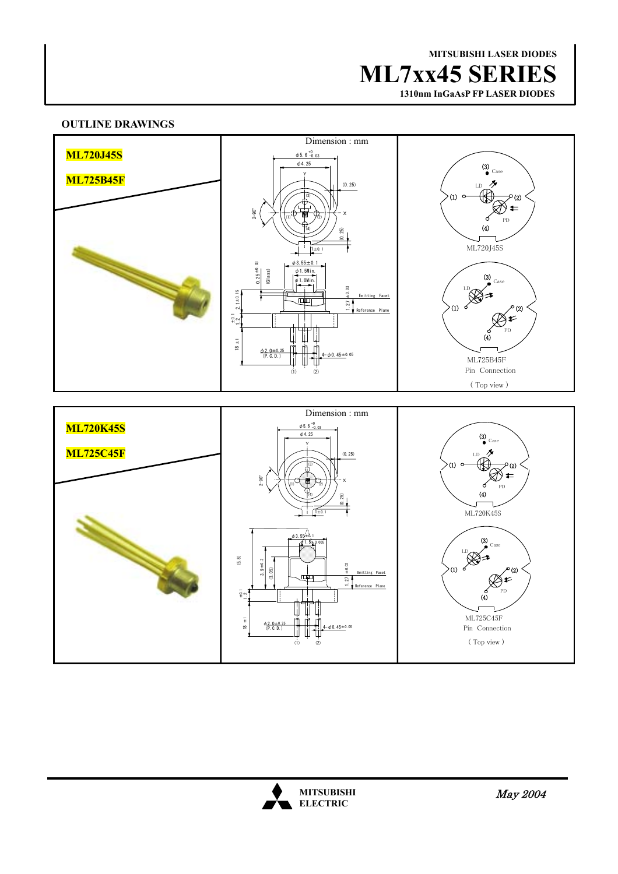## **MITSUBISHI LASER DIODES ML7xx45 SERIES**

 **1310nm InGaAsP FP LASER DIODES**

#### **OUTLINE DRAWINGS**